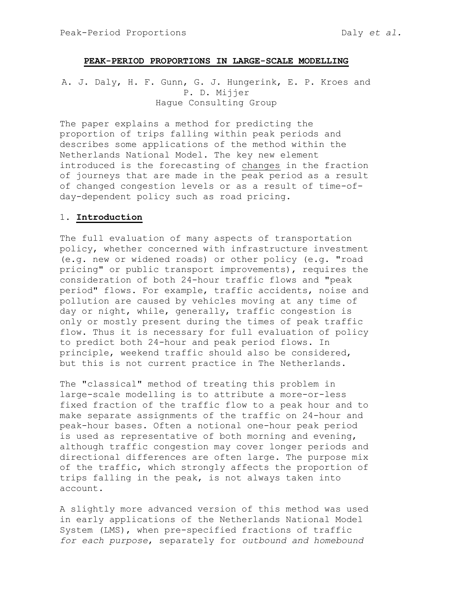## PEAK-PERIOD PROPORTIONS IN LARGE-SCALE MODELLING

A. J. Daly, H. F. Gunn, G. J. Hungerink, E. P. Kroes and P. D. Mijjer Hague Consulting Group

The paper explains a method for predicting the proportion of trips falling within peak periods and describes some applications of the method within the Netherlands National Model. The key new element introduced is the forecasting of changes in the fraction of journeys that are made in the peak period as a result of changed congestion levels or as a result of time-ofday-dependent policy such as road pricing.

## 1. Introduction

The full evaluation of many aspects of transportation policy, whether concerned with infrastructure investment (e.g. new or widened roads) or other policy (e.g. "road pricing" or public transport improvements), requires the consideration of both 24-hour traffic flows and "peak period" flows. For example, traffic accidents, noise and pollution are caused by vehicles moving at any time of day or night, while, generally, traffic congestion is only or mostly present during the times of peak traffic flow. Thus it is necessary for full evaluation of policy to predict both 24-hour and peak period flows. In principle, weekend traffic should also be considered, but this is not current practice in The Netherlands.

The "classical" method of treating this problem in large-scale modelling is to attribute a more-or-less fixed fraction of the traffic flow to a peak hour and to make separate assignments of the traffic on 24-hour and peak-hour bases. Often a notional one-hour peak period is used as representative of both morning and evening, although traffic congestion may cover longer periods and directional differences are often large. The purpose mix of the traffic, which strongly affects the proportion of trips falling in the peak, is not always taken into account.

A slightly more advanced version of this method was used in early applications of the Netherlands National Model System (LMS), when pre-specified fractions of traffic for each purpose, separately for outbound and homebound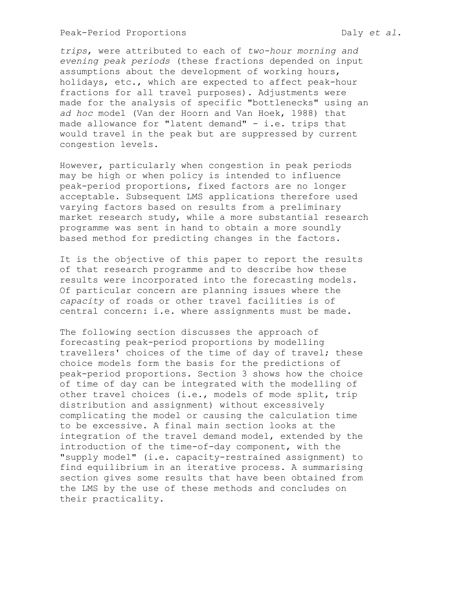trips, were attributed to each of two-hour morning and evening peak periods (these fractions depended on input assumptions about the development of working hours, holidays, etc., which are expected to affect peak-hour fractions for all travel purposes). Adjustments were made for the analysis of specific "bottlenecks" using an ad hoc model (Van der Hoorn and Van Hoek, 1988) that made allowance for "latent demand" - i.e. trips that would travel in the peak but are suppressed by current congestion levels.

However, particularly when congestion in peak periods may be high or when policy is intended to influence peak-period proportions, fixed factors are no longer acceptable. Subsequent LMS applications therefore used varying factors based on results from a preliminary market research study, while a more substantial research programme was sent in hand to obtain a more soundly based method for predicting changes in the factors.

It is the objective of this paper to report the results of that research programme and to describe how these results were incorporated into the forecasting models. Of particular concern are planning issues where the capacity of roads or other travel facilities is of central concern: i.e. where assignments must be made.

The following section discusses the approach of forecasting peak-period proportions by modelling travellers' choices of the time of day of travel; these choice models form the basis for the predictions of peak-period proportions. Section 3 shows how the choice of time of day can be integrated with the modelling of other travel choices (i.e., models of mode split, trip distribution and assignment) without excessively complicating the model or causing the calculation time to be excessive. A final main section looks at the integration of the travel demand model, extended by the introduction of the time-of-day component, with the "supply model" (i.e. capacity-restrained assignment) to find equilibrium in an iterative process. A summarising section gives some results that have been obtained from the LMS by the use of these methods and concludes on their practicality.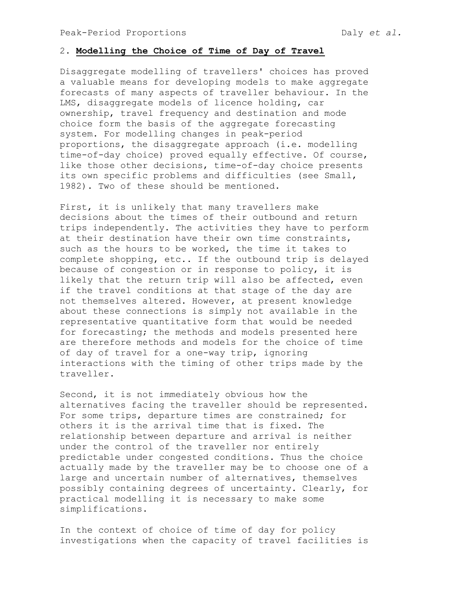# 2. Modelling the Choice of Time of Day of Travel

Disaggregate modelling of travellers' choices has proved a valuable means for developing models to make aggregate forecasts of many aspects of traveller behaviour. In the LMS, disaggregate models of licence holding, car ownership, travel frequency and destination and mode choice form the basis of the aggregate forecasting system. For modelling changes in peak-period proportions, the disaggregate approach (i.e. modelling time-of-day choice) proved equally effective. Of course, like those other decisions, time-of-day choice presents its own specific problems and difficulties (see Small, 1982). Two of these should be mentioned.

First, it is unlikely that many travellers make decisions about the times of their outbound and return trips independently. The activities they have to perform at their destination have their own time constraints, such as the hours to be worked, the time it takes to complete shopping, etc.. If the outbound trip is delayed because of congestion or in response to policy, it is likely that the return trip will also be affected, even if the travel conditions at that stage of the day are not themselves altered. However, at present knowledge about these connections is simply not available in the representative quantitative form that would be needed for forecasting; the methods and models presented here are therefore methods and models for the choice of time of day of travel for a one-way trip, ignoring interactions with the timing of other trips made by the traveller.

Second, it is not immediately obvious how the alternatives facing the traveller should be represented. For some trips, departure times are constrained; for others it is the arrival time that is fixed. The relationship between departure and arrival is neither under the control of the traveller nor entirely predictable under congested conditions. Thus the choice actually made by the traveller may be to choose one of a large and uncertain number of alternatives, themselves possibly containing degrees of uncertainty. Clearly, for practical modelling it is necessary to make some simplifications.

In the context of choice of time of day for policy investigations when the capacity of travel facilities is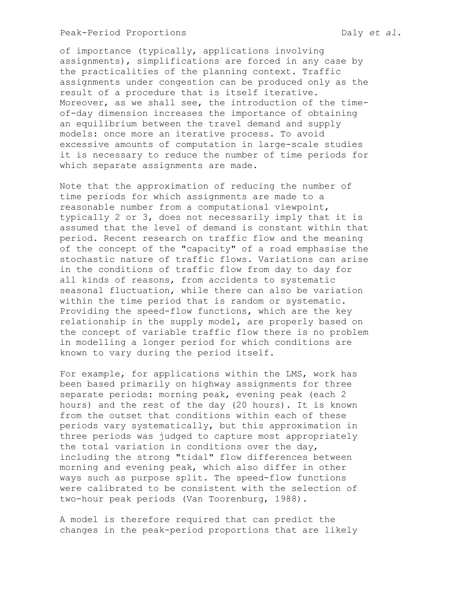of importance (typically, applications involving assignments), simplifications are forced in any case by the practicalities of the planning context. Traffic assignments under congestion can be produced only as the result of a procedure that is itself iterative. Moreover, as we shall see, the introduction of the timeof-day dimension increases the importance of obtaining an equilibrium between the travel demand and supply models: once more an iterative process. To avoid excessive amounts of computation in large-scale studies it is necessary to reduce the number of time periods for which separate assignments are made.

Note that the approximation of reducing the number of time periods for which assignments are made to a reasonable number from a computational viewpoint, typically 2 or 3, does not necessarily imply that it is assumed that the level of demand is constant within that period. Recent research on traffic flow and the meaning of the concept of the "capacity" of a road emphasise the stochastic nature of traffic flows. Variations can arise in the conditions of traffic flow from day to day for all kinds of reasons, from accidents to systematic seasonal fluctuation, while there can also be variation within the time period that is random or systematic. Providing the speed-flow functions, which are the key relationship in the supply model, are properly based on the concept of variable traffic flow there is no problem in modelling a longer period for which conditions are known to vary during the period itself.

For example, for applications within the LMS, work has been based primarily on highway assignments for three separate periods: morning peak, evening peak (each 2 hours) and the rest of the day (20 hours). It is known from the outset that conditions within each of these periods vary systematically, but this approximation in three periods was judged to capture most appropriately the total variation in conditions over the day, including the strong "tidal" flow differences between morning and evening peak, which also differ in other ways such as purpose split. The speed-flow functions were calibrated to be consistent with the selection of two-hour peak periods (Van Toorenburg, 1988).

A model is therefore required that can predict the changes in the peak-period proportions that are likely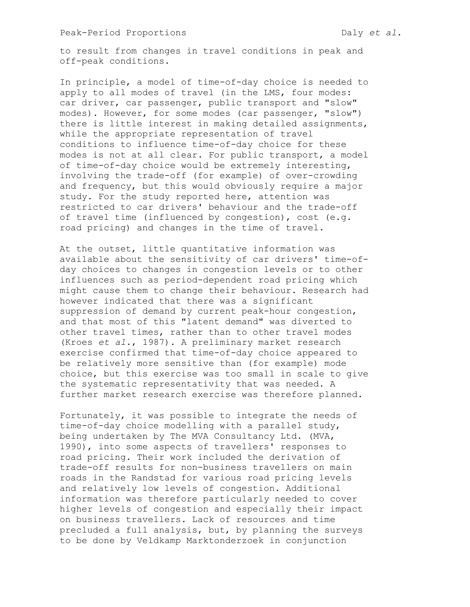to result from changes in travel conditions in peak and off-peak conditions.

In principle, a model of time-of-day choice is needed to apply to all modes of travel (in the LMS, four modes: car driver, car passenger, public transport and "slow" modes). However, for some modes (car passenger, "slow") there is little interest in making detailed assignments, while the appropriate representation of travel conditions to influence time-of-day choice for these modes is not at all clear. For public transport, a model of time-of-day choice would be extremely interesting, involving the trade-off (for example) of over-crowding and frequency, but this would obviously require a major study. For the study reported here, attention was restricted to car drivers' behaviour and the trade-off of travel time (influenced by congestion), cost (e.g. road pricing) and changes in the time of travel.

At the outset, little quantitative information was available about the sensitivity of car drivers' time-ofday choices to changes in congestion levels or to other influences such as period-dependent road pricing which might cause them to change their behaviour. Research had however indicated that there was a significant suppression of demand by current peak-hour congestion, and that most of this "latent demand" was diverted to other travel times, rather than to other travel modes (Kroes et al., 1987). A preliminary market research exercise confirmed that time-of-day choice appeared to be relatively more sensitive than (for example) mode choice, but this exercise was too small in scale to give the systematic representativity that was needed. A further market research exercise was therefore planned.

Fortunately, it was possible to integrate the needs of time-of-day choice modelling with a parallel study, being undertaken by The MVA Consultancy Ltd. (MVA, 1990), into some aspects of travellers' responses to road pricing. Their work included the derivation of trade-off results for non-business travellers on main roads in the Randstad for various road pricing levels and relatively low levels of congestion. Additional information was therefore particularly needed to cover higher levels of congestion and especially their impact on business travellers. Lack of resources and time precluded a full analysis, but, by planning the surveys to be done by Veldkamp Marktonderzoek in conjunction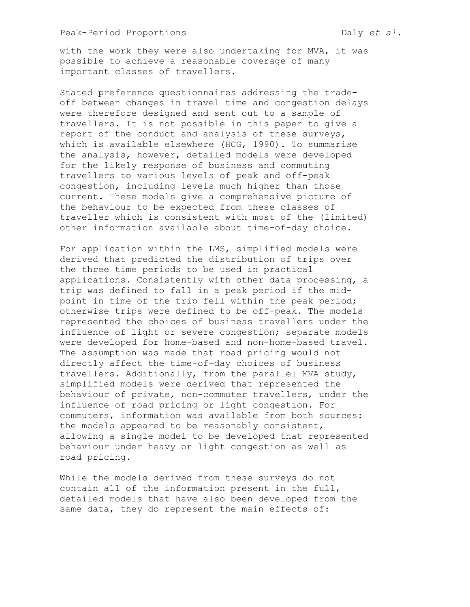with the work they were also undertaking for MVA, it was possible to achieve a reasonable coverage of many important classes of travellers.

Stated preference questionnaires addressing the tradeoff between changes in travel time and congestion delays were therefore designed and sent out to a sample of travellers. It is not possible in this paper to give a report of the conduct and analysis of these surveys, which is available elsewhere (HCG, 1990). To summarise the analysis, however, detailed models were developed for the likely response of business and commuting travellers to various levels of peak and off-peak congestion, including levels much higher than those current. These models give a comprehensive picture of the behaviour to be expected from these classes of traveller which is consistent with most of the (limited) other information available about time-of-day choice.

For application within the LMS, simplified models were derived that predicted the distribution of trips over the three time periods to be used in practical applications. Consistently with other data processing, a trip was defined to fall in a peak period if the midpoint in time of the trip fell within the peak period; otherwise trips were defined to be off-peak. The models represented the choices of business travellers under the influence of light or severe congestion; separate models were developed for home-based and non-home-based travel. The assumption was made that road pricing would not directly affect the time-of-day choices of business travellers. Additionally, from the parallel MVA study, simplified models were derived that represented the behaviour of private, non-commuter travellers, under the influence of road pricing or light congestion. For commuters, information was available from both sources: the models appeared to be reasonably consistent, allowing a single model to be developed that represented behaviour under heavy or light congestion as well as road pricing.

While the models derived from these surveys do not contain all of the information present in the full, detailed models that have also been developed from the same data, they do represent the main effects of: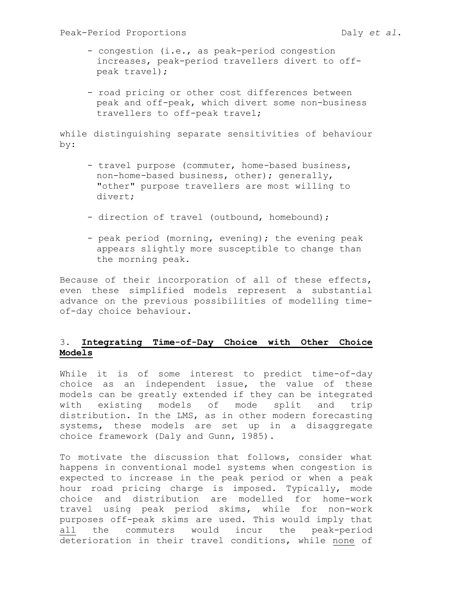- congestion (i.e., as peak-period congestion increases, peak-period travellers divert to offpeak travel);
- road pricing or other cost differences between peak and off-peak, which divert some non-business travellers to off-peak travel;

while distinguishing separate sensitivities of behaviour by:

- travel purpose (commuter, home-based business, non-home-based business, other); generally, "other" purpose travellers are most willing to divert;
- direction of travel (outbound, homebound);
- peak period (morning, evening); the evening peak appears slightly more susceptible to change than the morning peak.

Because of their incorporation of all of these effects, even these simplified models represent a substantial advance on the previous possibilities of modelling timeof-day choice behaviour.

# 3. Integrating Time-of-Day Choice with Other Choice Models

While it is of some interest to predict time-of-day choice as an independent issue, the value of these models can be greatly extended if they can be integrated with existing models of mode split and trip distribution. In the LMS, as in other modern forecasting systems, these models are set up in a disaggregate choice framework (Daly and Gunn, 1985).

To motivate the discussion that follows, consider what happens in conventional model systems when congestion is expected to increase in the peak period or when a peak hour road pricing charge is imposed. Typically, mode choice and distribution are modelled for home-work travel using peak period skims, while for non-work purposes off-peak skims are used. This would imply that all the commuters would incur the peak-period deterioration in their travel conditions, while none of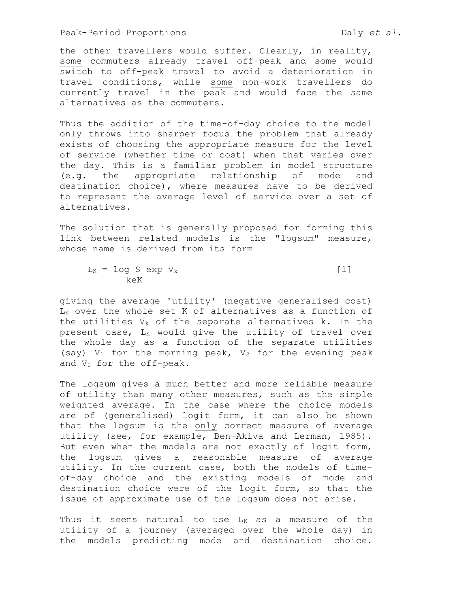the other travellers would suffer. Clearly, in reality, some commuters already travel off-peak and some would switch to off-peak travel to avoid a deterioration in travel conditions, while some non-work travellers do currently travel in the peak and would face the same alternatives as the commuters.

Thus the addition of the time-of-day choice to the model only throws into sharper focus the problem that already exists of choosing the appropriate measure for the level of service (whether time or cost) when that varies over the day. This is a familiar problem in model structure (e.g. the appropriate relationship of mode and destination choice), where measures have to be derived to represent the average level of service over a set of alternatives.

The solution that is generally proposed for forming this link between related models is the "logsum" measure, whose name is derived from its form

 $L_K = \log S$  exp  $V_k$  [1] keK

giving the average 'utility' (negative generalised cost)  $L_K$  over the whole set K of alternatives as a function of the utilities  $V_k$  of the separate alternatives k. In the present case, LK would give the utility of travel over the whole day as a function of the separate utilities (say)  $V_1$  for the morning peak,  $V_2$  for the evening peak and  $V_0$  for the off-peak.

The logsum gives a much better and more reliable measure of utility than many other measures, such as the simple weighted average. In the case where the choice models are of (generalised) logit form, it can also be shown that the logsum is the only correct measure of average utility (see, for example, Ben-Akiva and Lerman, 1985). But even when the models are not exactly of logit form, the logsum gives a reasonable measure of average utility. In the current case, both the models of timeof-day choice and the existing models of mode and destination choice were of the logit form, so that the issue of approximate use of the logsum does not arise.

Thus it seems natural to use  $L_K$  as a measure of the utility of a journey (averaged over the whole day) in the models predicting mode and destination choice.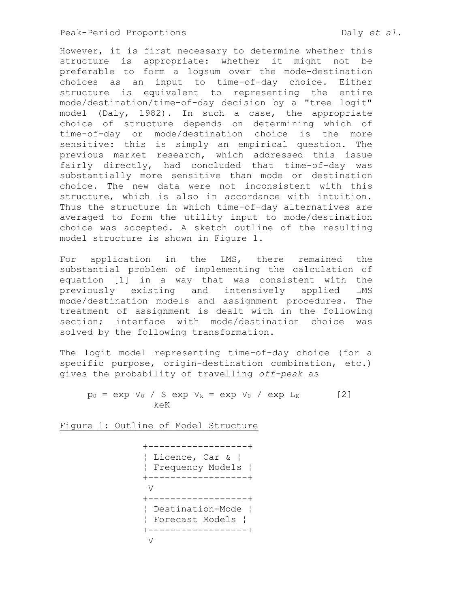However, it is first necessary to determine whether this structure is appropriate: whether it might not be preferable to form a logsum over the mode-destination choices as an input to time-of-day choice. Either structure is equivalent to representing the entire mode/destination/time-of-day decision by a "tree logit" model (Daly, 1982). In such a case, the appropriate choice of structure depends on determining which of time-of-day or mode/destination choice is the more sensitive: this is simply an empirical question. The previous market research, which addressed this issue fairly directly, had concluded that time-of-day was substantially more sensitive than mode or destination choice. The new data were not inconsistent with this structure, which is also in accordance with intuition. Thus the structure in which time-of-day alternatives are averaged to form the utility input to mode/destination choice was accepted. A sketch outline of the resulting model structure is shown in Figure 1.

For application in the LMS, there remained the substantial problem of implementing the calculation of equation [1] in a way that was consistent with the previously existing and intensively applied LMS mode/destination models and assignment procedures. The treatment of assignment is dealt with in the following section; interface with mode/destination choice was solved by the following transformation.

The logit model representing time-of-day choice (for a specific purpose, origin-destination combination, etc.) gives the probability of travelling off-peak as

 $p_0 = exp V_0 / S exp V_k = exp V_0 / exp L_K$  [2] keK

Figure 1: Outline of Model Structure

```
 +------------------+ 
              ¦ Licence, Car & ¦ 
              ¦ Frequency Models ¦ 
              +------------------+ 
V 
              +------------------+ 
              ¦ Destination-Mode ¦ 
              ¦ Forecast Models ¦ 
              +------------------+ 
V
```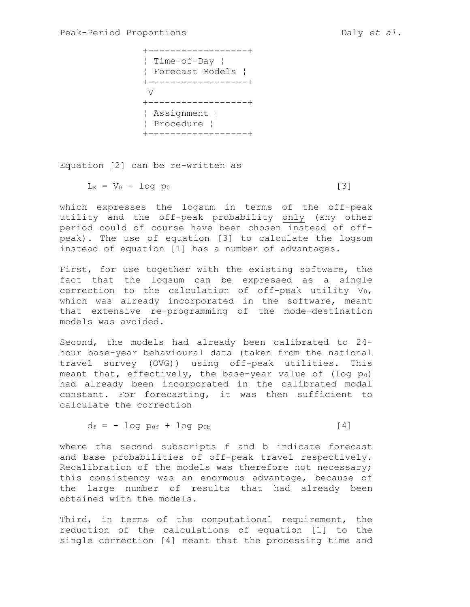+------------------+ ¦ Time-of-Day ¦ ¦ Forecast Models ¦ +------------------+ V +------------------+ ¦ Assignment ¦ ¦ Procedure ¦ +------------------+

Equation [2] can be re-written as

 $L_K = V_0 - log p_0$  [3]

which expresses the logsum in terms of the off-peak utility and the off-peak probability only (any other period could of course have been chosen instead of offpeak). The use of equation [3] to calculate the logsum instead of equation [1] has a number of advantages.

First, for use together with the existing software, the fact that the logsum can be expressed as a single correction to the calculation of off-peak utility  $V_0$ , which was already incorporated in the software, meant that extensive re-programming of the mode-destination models was avoided.

Second, the models had already been calibrated to 24 hour base-year behavioural data (taken from the national travel survey (OVG)) using off-peak utilities. This meant that, effectively, the base-year value of (log  $p_0$ ) had already been incorporated in the calibrated modal constant. For forecasting, it was then sufficient to calculate the correction

$$
d_f = -\log\ p_{0f} + \log\ p_{0b} \tag{4}
$$

where the second subscripts f and b indicate forecast and base probabilities of off-peak travel respectively. Recalibration of the models was therefore not necessary; this consistency was an enormous advantage, because of the large number of results that had already been obtained with the models.

Third, in terms of the computational requirement, the reduction of the calculations of equation [1] to the single correction [4] meant that the processing time and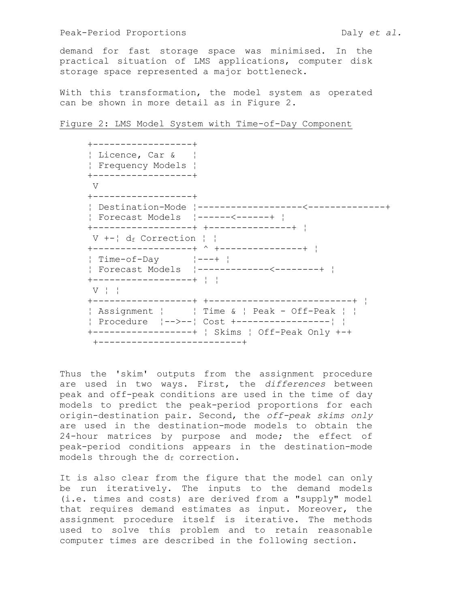demand for fast storage space was minimised. In the practical situation of LMS applications, computer disk storage space represented a major bottleneck.

With this transformation, the model system as operated can be shown in more detail as in Figure 2.

### Figure 2: LMS Model System with Time-of-Day Component

| Licence, Car &<br>Frequency Models                    |                                                                                                        |
|-------------------------------------------------------|--------------------------------------------------------------------------------------------------------|
| +------------------+<br>V                             |                                                                                                        |
| -----------------+                                    |                                                                                                        |
| V $+-!$ d <sub>f</sub> Correction $  \cdot  $         | +-----------------+ ^ +---------------+ !                                                              |
| $\frac{1}{2}$ Time-of-Day $\frac{1}{2}$ $\frac{1}{2}$ |                                                                                                        |
| $V$ !!                                                |                                                                                                        |
|                                                       | Assignment       Time &   Peak - Off-Peak    <br>Procedure $ -->- -  \text{Cost } +----------------- $ |

Thus the 'skim' outputs from the assignment procedure are used in two ways. First, the differences between peak and off-peak conditions are used in the time of day models to predict the peak-period proportions for each origin-destination pair. Second, the off-peak skims only are used in the destination-mode models to obtain the 24-hour matrices by purpose and mode; the effect of peak-period conditions appears in the destination-mode models through the df correction.

It is also clear from the figure that the model can only be run iteratively. The inputs to the demand models (i.e. times and costs) are derived from a "supply" model that requires demand estimates as input. Moreover, the assignment procedure itself is iterative. The methods used to solve this problem and to retain reasonable computer times are described in the following section.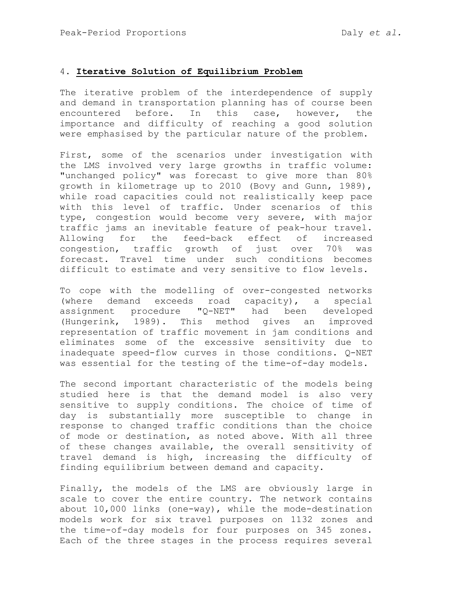# 4. Iterative Solution of Equilibrium Problem

The iterative problem of the interdependence of supply and demand in transportation planning has of course been encountered before. In this case, however, the importance and difficulty of reaching a good solution were emphasised by the particular nature of the problem.

First, some of the scenarios under investigation with the LMS involved very large growths in traffic volume: "unchanged policy" was forecast to give more than 80% growth in kilometrage up to 2010 (Bovy and Gunn, 1989), while road capacities could not realistically keep pace with this level of traffic. Under scenarios of this type, congestion would become very severe, with major traffic jams an inevitable feature of peak-hour travel. Allowing for the feed-back effect of increased congestion, traffic growth of just over 70% was forecast. Travel time under such conditions becomes difficult to estimate and very sensitive to flow levels.

To cope with the modelling of over-congested networks (where demand exceeds road capacity), a special assignment procedure "Q-NET" had been developed (Hungerink, 1989). This method gives an improved representation of traffic movement in jam conditions and eliminates some of the excessive sensitivity due to inadequate speed-flow curves in those conditions. Q-NET was essential for the testing of the time-of-day models.

The second important characteristic of the models being studied here is that the demand model is also very sensitive to supply conditions. The choice of time of day is substantially more susceptible to change in response to changed traffic conditions than the choice of mode or destination, as noted above. With all three of these changes available, the overall sensitivity of travel demand is high, increasing the difficulty of finding equilibrium between demand and capacity.

Finally, the models of the LMS are obviously large in scale to cover the entire country. The network contains about 10,000 links (one-way), while the mode-destination models work for six travel purposes on 1132 zones and the time-of-day models for four purposes on 345 zones. Each of the three stages in the process requires several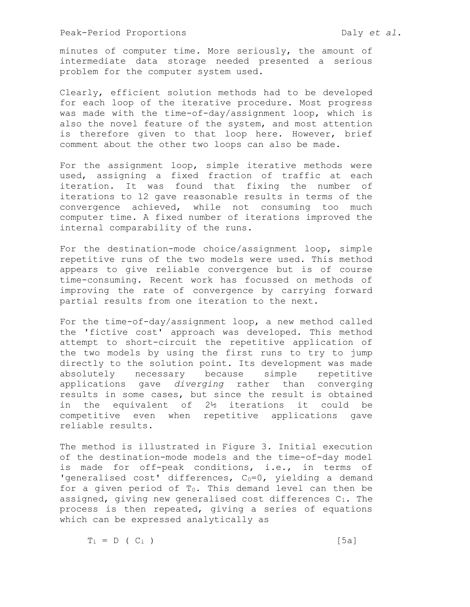minutes of computer time. More seriously, the amount of intermediate data storage needed presented a serious problem for the computer system used.

Clearly, efficient solution methods had to be developed for each loop of the iterative procedure. Most progress was made with the time-of-day/assignment loop, which is also the novel feature of the system, and most attention is therefore given to that loop here. However, brief comment about the other two loops can also be made.

For the assignment loop, simple iterative methods were used, assigning a fixed fraction of traffic at each iteration. It was found that fixing the number of iterations to 12 gave reasonable results in terms of the convergence achieved, while not consuming too much computer time. A fixed number of iterations improved the internal comparability of the runs.

For the destination-mode choice/assignment loop, simple repetitive runs of the two models were used. This method appears to give reliable convergence but is of course time-consuming. Recent work has focussed on methods of improving the rate of convergence by carrying forward partial results from one iteration to the next.

For the time-of-day/assignment loop, a new method called the 'fictive cost' approach was developed. This method attempt to short-circuit the repetitive application of the two models by using the first runs to try to jump directly to the solution point. Its development was made absolutely necessary because simple repetitive applications gave diverging rather than converging results in some cases, but since the result is obtained in the equivalent of 2½ iterations it could be competitive even when repetitive applications gave reliable results.

The method is illustrated in Figure 3. Initial execution of the destination-mode models and the time-of-day model is made for off-peak conditions, i.e., in terms of 'generalised cost' differences,  $C_0=0$ , yielding a demand for a given period of  $T_0$ . This demand level can then be assigned, giving new generalised cost differences C1. The process is then repeated, giving a series of equations which can be expressed analytically as

 $T_i = D$  (  $C_i$  ) [5a]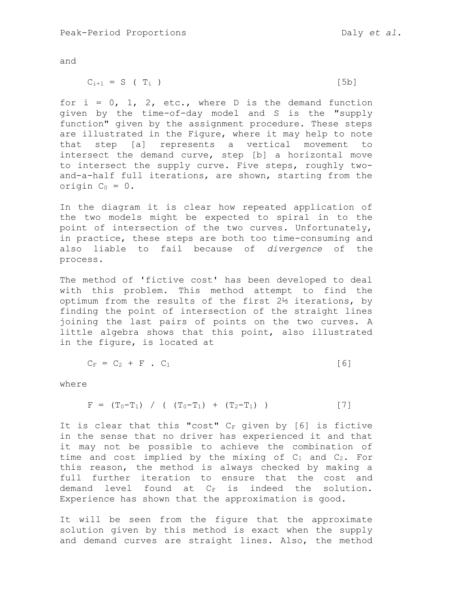and

$$
C_{i+1} = S \t(T_i) \t[5b]
$$

for  $i = 0, 1, 2, etc.,$  where D is the demand function given by the time-of-day model and S is the "supply function" given by the assignment procedure. These steps are illustrated in the Figure, where it may help to note that step [a] represents a vertical movement to intersect the demand curve, step [b] a horizontal move to intersect the supply curve. Five steps, roughly twoand-a-half full iterations, are shown, starting from the origin  $C_0 = 0$ .

In the diagram it is clear how repeated application of the two models might be expected to spiral in to the point of intersection of the two curves. Unfortunately, in practice, these steps are both too time-consuming and also liable to fail because of divergence of the process.

The method of 'fictive cost' has been developed to deal with this problem. This method attempt to find the optimum from the results of the first 2½ iterations, by finding the point of intersection of the straight lines joining the last pairs of points on the two curves. A little algebra shows that this point, also illustrated in the figure, is located at

$$
C_F = C_2 + F \cdot C_1 \qquad \qquad [6]
$$

where

$$
F = (T_0 - T_1) / ( (T_0 - T_1) + (T_2 - T_1) )
$$
 [7]

It is clear that this "cost"  $C_F$  given by [6] is fictive in the sense that no driver has experienced it and that it may not be possible to achieve the combination of time and cost implied by the mixing of  $C_1$  and  $C_2$ . For this reason, the method is always checked by making a full further iteration to ensure that the cost and demand level found at  $C_F$  is indeed the solution. Experience has shown that the approximation is good.

It will be seen from the figure that the approximate solution given by this method is exact when the supply and demand curves are straight lines. Also, the method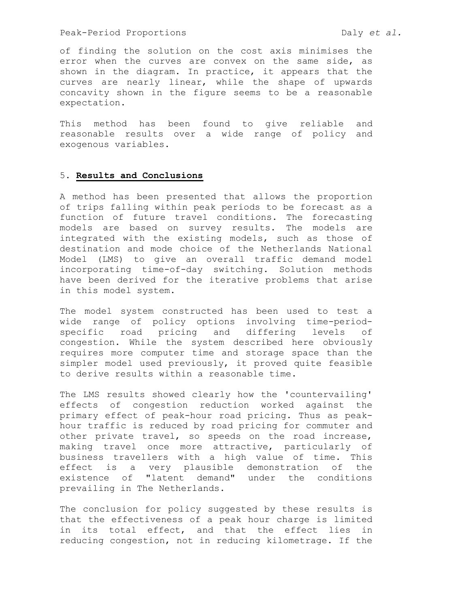of finding the solution on the cost axis minimises the error when the curves are convex on the same side, as shown in the diagram. In practice, it appears that the curves are nearly linear, while the shape of upwards concavity shown in the figure seems to be a reasonable expectation.

This method has been found to give reliable and reasonable results over a wide range of policy and exogenous variables.

# 5. Results and Conclusions

A method has been presented that allows the proportion of trips falling within peak periods to be forecast as a function of future travel conditions. The forecasting models are based on survey results. The models are integrated with the existing models, such as those of destination and mode choice of the Netherlands National Model (LMS) to give an overall traffic demand model incorporating time-of-day switching. Solution methods have been derived for the iterative problems that arise in this model system.

The model system constructed has been used to test a wide range of policy options involving time-periodspecific road pricing and differing levels of congestion. While the system described here obviously requires more computer time and storage space than the simpler model used previously, it proved quite feasible to derive results within a reasonable time.

The LMS results showed clearly how the 'countervailing' effects of congestion reduction worked against the primary effect of peak-hour road pricing. Thus as peakhour traffic is reduced by road pricing for commuter and other private travel, so speeds on the road increase, making travel once more attractive, particularly of business travellers with a high value of time. This effect is a very plausible demonstration of the existence of "latent demand" under the conditions prevailing in The Netherlands.

The conclusion for policy suggested by these results is that the effectiveness of a peak hour charge is limited in its total effect, and that the effect lies in reducing congestion, not in reducing kilometrage. If the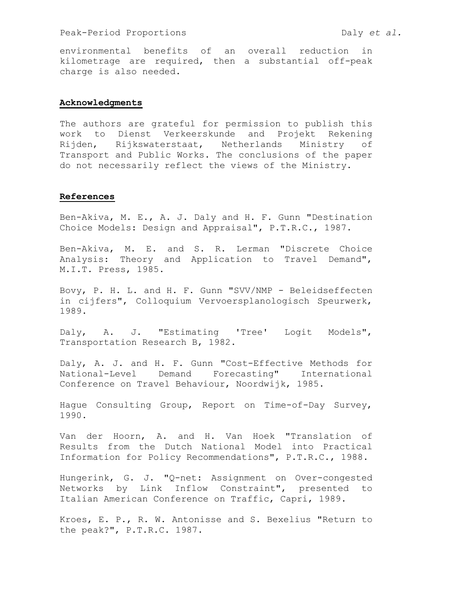environmental benefits of an overall reduction in kilometrage are required, then a substantial off-peak charge is also needed.

### Acknowledgments

The authors are grateful for permission to publish this work to Dienst Verkeerskunde and Projekt Rekening Rijden, Rijkswaterstaat, Netherlands Ministry of Transport and Public Works. The conclusions of the paper do not necessarily reflect the views of the Ministry.

### References

Ben-Akiva, M. E., A. J. Daly and H. F. Gunn "Destination Choice Models: Design and Appraisal", P.T.R.C., 1987.

Ben-Akiva, M. E. and S. R. Lerman "Discrete Choice Analysis: Theory and Application to Travel Demand", M.I.T. Press, 1985.

Bovy, P. H. L. and H. F. Gunn "SVV/NMP - Beleidseffecten in cijfers", Colloquium Vervoersplanologisch Speurwerk, 1989.

Daly, A. J. "Estimating 'Tree' Logit Models", Transportation Research B, 1982.

Daly, A. J. and H. F. Gunn "Cost-Effective Methods for National-Level Demand Forecasting" International Conference on Travel Behaviour, Noordwijk, 1985.

Hague Consulting Group, Report on Time-of-Day Survey, 1990.

Van der Hoorn, A. and H. Van Hoek "Translation of Results from the Dutch National Model into Practical Information for Policy Recommendations", P.T.R.C., 1988.

Hungerink, G. J. "Q-net: Assignment on Over-congested Networks by Link Inflow Constraint", presented to Italian American Conference on Traffic, Capri, 1989.

Kroes, E. P., R. W. Antonisse and S. Bexelius "Return to the peak?", P.T.R.C. 1987.